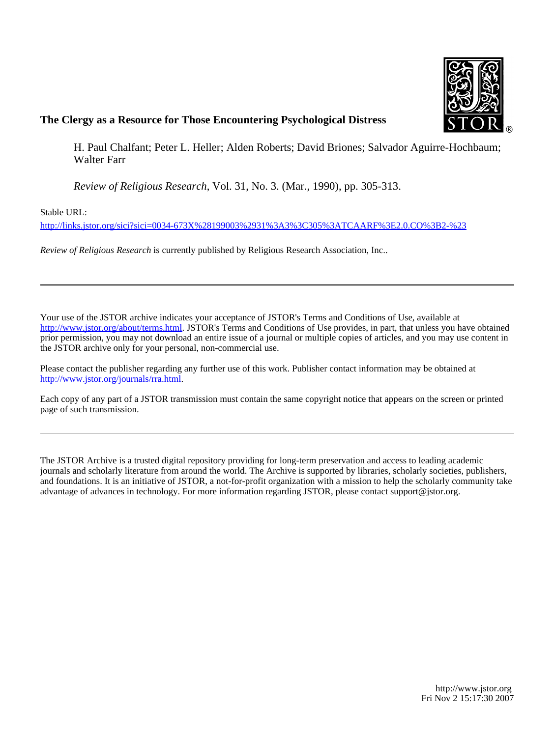

# **The Clergy as a Resource for Those Encountering Psychological Distress**

H. Paul Chalfant; Peter L. Heller; Alden Roberts; David Briones; Salvador Aguirre-Hochbaum; Walter Farr

*Review of Religious Research*, Vol. 31, No. 3. (Mar., 1990), pp. 305-313.

Stable URL:

<http://links.jstor.org/sici?sici=0034-673X%28199003%2931%3A3%3C305%3ATCAARF%3E2.0.CO%3B2-%23>

*Review of Religious Research* is currently published by Religious Research Association, Inc..

Your use of the JSTOR archive indicates your acceptance of JSTOR's Terms and Conditions of Use, available at [http://www.jstor.org/about/terms.html.](http://www.jstor.org/about/terms.html) JSTOR's Terms and Conditions of Use provides, in part, that unless you have obtained prior permission, you may not download an entire issue of a journal or multiple copies of articles, and you may use content in the JSTOR archive only for your personal, non-commercial use.

Please contact the publisher regarding any further use of this work. Publisher contact information may be obtained at [http://www.jstor.org/journals/rra.html.](http://www.jstor.org/journals/rra.html)

Each copy of any part of a JSTOR transmission must contain the same copyright notice that appears on the screen or printed page of such transmission.

The JSTOR Archive is a trusted digital repository providing for long-term preservation and access to leading academic journals and scholarly literature from around the world. The Archive is supported by libraries, scholarly societies, publishers, and foundations. It is an initiative of JSTOR, a not-for-profit organization with a mission to help the scholarly community take advantage of advances in technology. For more information regarding JSTOR, please contact support@jstor.org.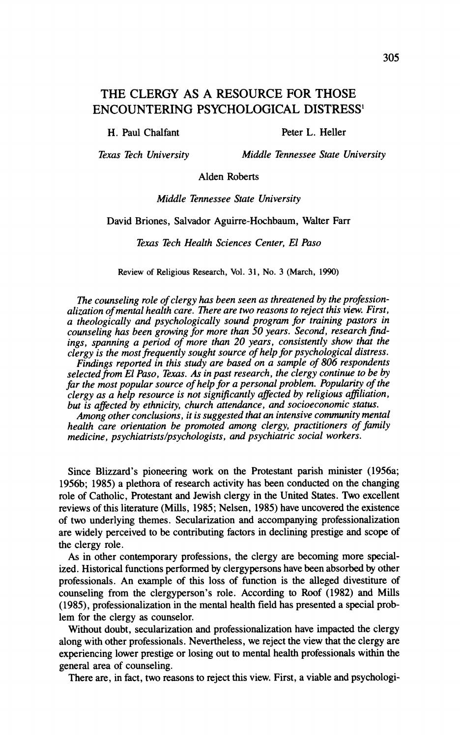## **THE CLERGY AS A RESOURCE FOR THOSE ENCOUNTERING PSYCHOLOGICAL DISTRESS1**

H. Paul Chalfant Peter L. Heller

*Texas Tech University Middle Tennessee State University* 

Alden Roberts

*Middle Tennessee State University* 

David Briones, Salvador Aguirre-Hochbaum, Walter Farr

*Texas Tech Health Sciences Center, El Paso* 

**Review of Religious Research, Vol. 31, No. 3 (March, 1990)** 

*The counseling role of clergy has been seen as threatened by the professionalization of mental health care. There are two reasons to reject this view. First, a theologically and psychologically sound program for training pastors in*  counseling has been growing for more than 50 years. Second, research find*ings, spanning a period of more than 20 years, consistently show that the clergy is the most frequently sought source of help for psychological distress.* 

*Findings reported in this study are based on a sample of 806 respondents*  selected from El Paso, Texas. As in past research, the clergy continue to be by far the most popular source of help for a personal problem. Popularity of the *clergy as a help resource is not signijkantly affected by religious aflliation, but is affected by ethnicity, church attendance, and socioeconomic status. Among other conclusions, it is suggested that an intensive community mental* 

*health care orientation be promoted among clergy, practitioners of family medicine,* **psychiatristslpsychologists,***and psychiatric social workers.* 

Since Blizzard's pioneering work on the Protestant parish minister (1956a; 1956b; 1985) a plethora of research activity has been conducted on the changing role of Catholic, Protestant and Jewish clergy in the United States. Two excellent reviews of this literature (Mills, 1985; Nelsen, 1985) have uncovered the existence of two underlying themes. Secularization and accompanying professionalization are widely perceived to be contributing factors in declining prestige and scope of the clergy role.

**As** in other contemporary professions, the clergy are becoming more specialized. Historical functions performed by clergypersons have been absorbed by other professionals. An example of this loss of function is the alleged divestiture of counseling from the clergyperson's role. According to Roof (1982) and Mills (1985), professionalization in the mental health field has presented a special problem for the clergy as counselor.

Without doubt, secularization and professionalization have impacted the clergy along with other professionals. Nevertheless, we reject the view that the clergy are experiencing lower prestige or losing out to mental health professionals within the general area of counseling.

There are, in fact, two reasons to reject this view. First, a viable and psychologi-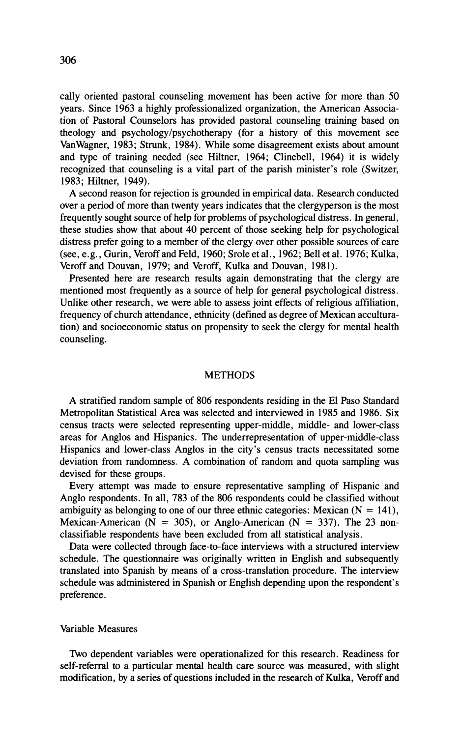cally oriented pastoral counseling movement has been active for more than 50 years. Since 1963 a highly professionalized organization, the American Association of Pastoral Counselors has provided pastoral counseling training based on theology and psychology/psychotherapy (for a history of this movement see VanWagner, 1983; Strunk, 1984). While some disagreement exists about amount and type of training needed (see Hiltner, 1964; Clinebell, 1964) it is widely recognized that counseling is a vital part of the parish minister's role (Switzer, 1983: Hiltner, 1949).

A second reason for rejection is grounded in empirical data. Research conducted over a period of more than twenty years indicates that the clergyperson is the most frequently sought source of help for problems of psychological distress. In general, these studies show that about 40 percent of those seeking help for psychological distress prefer going to a member of the clergy over other possible sources of care (see, e.g., Gurin, Veroff and Feld, 1960; Srole et a]., 1962; Bell et al. 1976; Kulka, Veroff and Douvan, 1979; and Veroff, Kulka and Douvan, 1981).

Presented here are research results again demonstrating that the clergy are mentioned most frequently as a source of help for general psychological distress. Unlike other research, we were able to assess joint effects of religious affiliation, frequency of church attendance, ethnicity (defined as degree of Mexican acculturation) and socioeconomic status on propensity to seek the clergy for mental health counseling

### **METHODS**

A stratified random sample of 806 respondents residing in the El Paso Standard Metropolitan Statistical Area was selected and interviewed in 1985 and 1986. Six census tracts were selected representing upper-middle, middle- and lower-class areas for Anglos and Hispanics. The underrepresentation of upper-middle-class Hispanics and lower-class Anglos in the city's census tracts necessitated some deviation from randomness. A combination of random and quota sampling was devised for these groups.

Every attempt was made to ensure representative sampling of Hispanic and Anglo respondents. In all, 783 of the 806 respondents could be classified without ambiguity as belonging to one of our three ethnic categories: Mexican  $(N = 141)$ , Mexican-American ( $N = 305$ ), or Anglo-American ( $N = 337$ ). The 23 nonclassifiable respondents have been excluded from all statistical analysis.

Data were collected through face-to-face interviews with a structured interview schedule. The questionnaire was originally written in English and subsequently translated into Spanish by means of a cross-translation procedure. The interview schedule was administered in Spanish or English depending upon the respondent's preference.

#### Variable Measures

Two dependent variables were operationalized for this research. Readiness for self-referral to a particular mental health care source was measured, with slight modification, by a series of questions included in the research of Kulka, Veroff and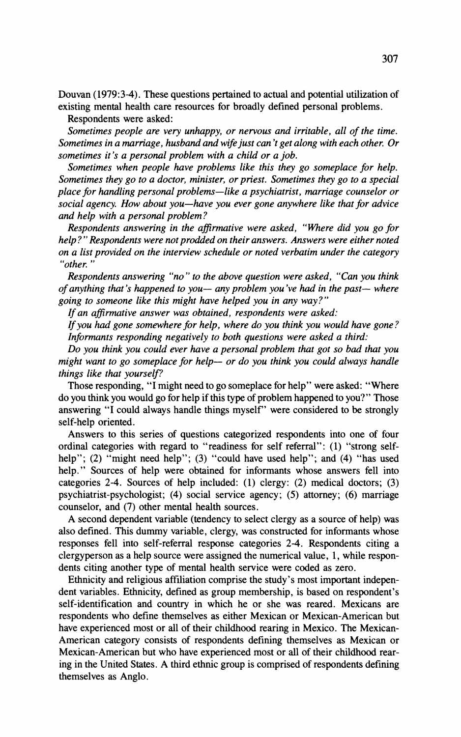Douvan (1979:3-4). These questions pertained to actual and potential utilization of existing mental health care resources for broadly defined personal problems.

Respondents were asked:

*Sometimes people are very unhappy, or nervous and irritable, all of the time. Sometimes in a marriage, husband and wife just can 't get along with each other. Or sometimes it's a personal problem with a child or a job.* 

*Sometimes when people have problems like this they go someplace for help. Sometimes they go to a doctor, minister, or priest. Sometimes they go to a special place for handling personal problems-like a psychiatrist, marriage counselor or social agency. How about you-have you ever gone anywhere like that for advice and help with a personal problem?* 

*Respondents answering in the afirmative were asked, "Where did you go for help?" Respondents were not prodded on their answers. Answers were either noted on a list provided on the interview schedule or noted verbatim under the category "other.* "

*Respondents answering "no" to the above question were asked, "Can you think of anything that's happened to you*— any problem you've had in the past— where *going to someone like this might have helped you in any way?"* 

*If an afinnative answer was obtained, respondents were asked:* 

*If you had gone somewhere for help, where do you think you would have gone? Informants responding negatively to both questions were asked a third:* 

*Do you think you could ever have a personal problem that got so bad that you might want to go someplace for help- or do you think you could always handle things like that yourself?* 

Those responding, *"I* might need to go someplace for help" were asked: "Where do you think you would go for help if this type of problem happened to you?" Those answering "I could always handle things myself' were considered to be strongly self-help oriented.

Answers to this series of questions categorized respondents into one of four ordinal categories with regard to "readiness for self referral": (1) "strong selfhelp"; (2) "might need help"; (3) "could have used help"; and (4) "has used help." Sources of help were obtained for informants whose answers fell into categories 2-4. Sources of help included: (1) clergy: (2) medical doctors; (3) psychiatrist-psychologist; (4) social service agency; (5) attorney; (6) marriage counselor, and (7) other mental health sources.

A second dependent variable (tendency to select clergy as a source of help) was also defined. This dummy variable, clergy, was constructed for informants whose responses fell into self-referral response categories 2-4. Respondents citing a clergyperson as a help source were assigned the numerical value, 1, while respondents citing another type of mental health service were coded as zero.

Ethnicity and religious affiliation comprise the study's most important independent variables. Ethnicity, defined as group membership, is based on respondent's self-identification and country in which he or she was reared. Mexicans are respondents who define themselves as either Mexican or Mexican-American but have experienced most or all of their childhood rearing in Mexico. The Mexican-American category consists of respondents defining themselves as Mexican or Mexican-American but who have experienced most or all of their childhood rearing in the United States. A third ethnic group is comprised of respondents defining themselves as Anglo.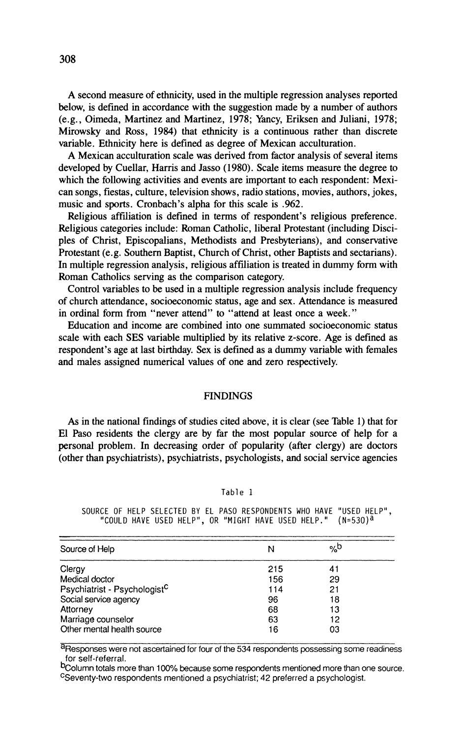**A** second measure of ethnicity, used in the multiple regression analyses reported below, is defined in accordance with the suggestion made by a number of authors (e.g., Oimeda, Martinez and Martinez, 1978; Yancy, Eriksen and Juliani, 1978; Mirowsky and Ross, 1984) that ethnicity is a continuous rather than discrete variable. Ethnicity here is defined as degree of Mexican acculturation.

A Mexican acculturation scale was derived from factor analysis of several items developed by Cuellar, Harris and Jasso (1980). Scale items measure the degree to which the following activities and events are important to each respondent: Mexican songs, fiestas, culture, television shows, radio stations, movies, authors, jokes, music and sports. Cronbach's alpha for this scale is .962.

Religious affiliation is defined in terms of respondent's religious preference. Religious categories include: Roman Catholic, liberal Protestant (including Disciples of Christ, Episcopalians, Methodists and Presbyterians), and conservative Protestant (e.g. Southern Baptist, Church of Christ, other Baptists and sectarians). In multiple regression analysis, religious affiliation is treated in dummy form with Roman Catholics serving as the comparison category.

Control variables to be used in a multiple regression analysis include frequency of church attendance, socioeconomic status, age and sex. Attendance is measured in ordinal form from "never attend" to "attend at least once a week."

Education and income are combined into one summated socioeconomic status scale with each SES variable multiplied by its relative z-score. Age is defined as respondent's age at last birthday. Sex is defined as a dummy variable with females and males assigned numerical values of one and zero respectively.

#### FINDINGS

*As* in the national findings of studies cited above, it is clear (see Table 1) that for El Paso residents the clergy are by far the most popular source of help for a personal problem. In decreasing order of popularity (after clergy) are doctors (other than psychiatrists), psychiatrists, psychologists, and social service agencies

#### Table 1

SOURCE OF HELP SELECTED BY EL PAS0 RESPONDENTS WHO HAVE "USED HELP", "COULD HAVE USED HELP", OR "MIGHT HAVE USED HELP." (N=530)<sup>a</sup>

| Source of Help                           | N   | %b |  |
|------------------------------------------|-----|----|--|
| Clergy                                   | 215 | 41 |  |
| Medical doctor                           | 156 | 29 |  |
| Psychiatrist - Psychologist <sup>C</sup> | 114 | 21 |  |
| Social service agency                    | 96  | 18 |  |
| Attorney                                 | 68  | 13 |  |
| Marriage counselor                       | 63  | 12 |  |
| Other mental health source               | 16  | 03 |  |

aResponses were not ascertained for four of the 534 respondents possessing some readiness for self-referral.

bcolumn totals more than 100% because some respondents mentioned more than one source. CSeventy-two respondents mentioned a psychiatrist;42 preferred a psychologist.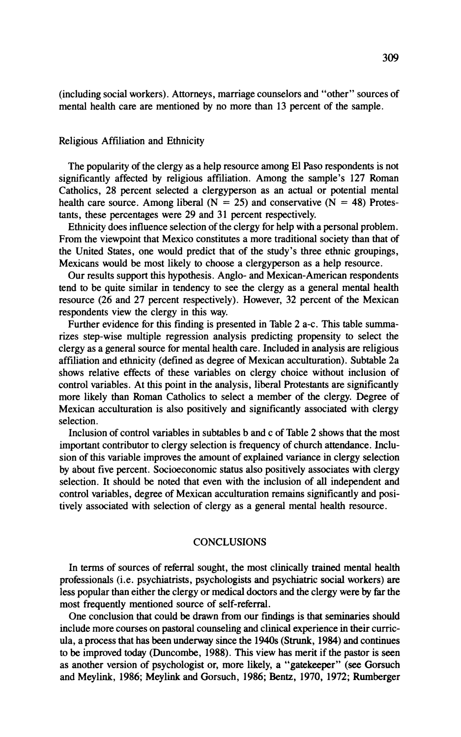(including social workers). Attorneys, marriage counselors and "other" sources of mental health care are mentioned by no more than 13 percent of the sample.

## Religious Affiliation and Ethnicity

The popularity of the clergy as a help resource among El Paso respondents is not significantly affected by religious affiliation. Among the sample's 127 Roman Catholics, 28 percent selected a clergyperson as an actual or potential mental health care source. Among liberal ( $N = 25$ ) and conservative ( $N = 48$ ) Protestants, these percentages were 29 and 31 percent respectively.

Ethnicity does influence selection of the clergy for help with a personal problem. From the viewpoint that Mexico constitutes a more traditional society than that of the United States, one would predict that of the study's three ethnic groupings, Mexicans would be most likely to choose a clergyperson as a help resource.

Our results support this hypothesis. Anglo- and Mexican-American respondents tend to be quite similar in tendency to see the clergy as a general mental health resource (26 and 27 percent respectively). However, 32 percent of the Mexican respondents view the clergy in this way.

Further evidence for this finding is presented in Table 2 a-c. This table sumrnarizes step-wise multiple regression analysis predicting propensity to select the clergy as a general source for mental health care. Included in analysis are religious affiliation and ethnicity (defined as degree of Mexican acculturation). Subtable 2a shows relative effects of these variables on clergy choice without inclusion of control variables. At this point in the analysis, liberal Protestants are significantly more likely than Roman Catholics to select a member of the clergy. Degree of Mexican acculturation is also positively and significantly associated with clergy selection.

Inclusion of control variables in subtables b and c of Table 2 shows that the most important contributor to clergy selection is frequency of church attendance. Inclusion of this variable improves the amount of explained variance in clergy selection by about five percent. Socioeconomic status also positively associates with clergy selection. It should be noted that even with the inclusion of all independent and control variables, degree of Mexican acculturation remains significantly and positively associated with selection of clergy as a general mental health resource.

#### **CONCLUSIONS**

In terms of sources of referral sought, the most clinically trained mental health professionals (i.e. psychiatrists, psychologists and psychiatric social workers) are less popular than either the clergy or medical doctors and the clergy were by far the most frequently mentioned source of self-referral.

One conclusion that could be drawn from our findings is that seminaries should include more courses on pastoral counseling and clinical experience in their curricula, a process that has been underway since the  $1940s$  (Strunk, 1984) and continues to be improved today (Duncombe, 1988). This view has merit if the pastor is seen as another version of psychologist or, more likely, a "gatekeeper" (see Gorsuch and Meylink, 1986; Meylink and Gorsuch, 1986; Bentz, 1970, 1972; Rumberger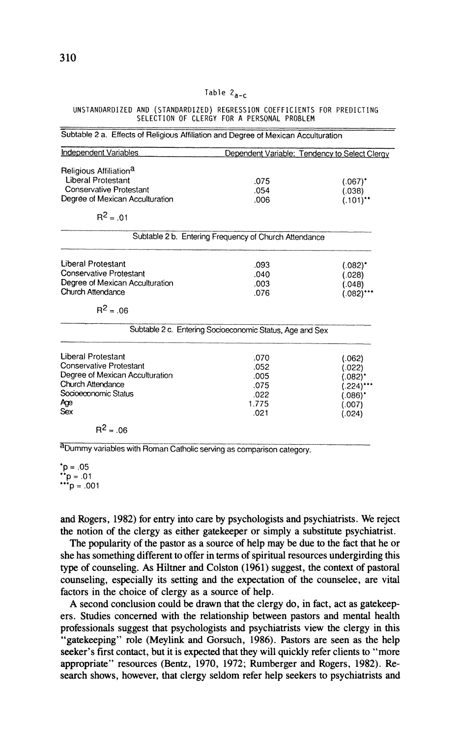#### **Table 2,\_,**

#### **UNSTANOARDIZED AND (STANDARDIZED) REGRESSION COEFFICIENTS FOR PREDICTING SELECTION OF CLERGY FOR A PERSONAL PROBLEM**

| <b>Independent Variables</b>       | Dependent Variable: Tendency to Select Clergy            |               |  |
|------------------------------------|----------------------------------------------------------|---------------|--|
|                                    |                                                          |               |  |
| Religious Affiliation <sup>a</sup> |                                                          |               |  |
| <b>Liberal Protestant</b>          | .075                                                     | $(.067)^*$    |  |
| Conservative Protestant            | .054                                                     | (.038)        |  |
| Degree of Mexican Acculturation    | .006                                                     | $(.101)^{**}$ |  |
| $R^2 = .01$                        |                                                          |               |  |
|                                    | Subtable 2 b. Entering Frequency of Church Attendance    |               |  |
| <b>Liberal Protestant</b>          | .093                                                     | $(.082)^*$    |  |
| <b>Conservative Protestant</b>     | .040                                                     | (.028)        |  |
| Degree of Mexican Acculturation    | .003                                                     | (.048)        |  |
| Church Attendance                  | .076                                                     | (.082)***     |  |
| $R^2 = .06$                        |                                                          |               |  |
|                                    | Subtable 2 c. Entering Socioeconomic Status, Age and Sex |               |  |
| Liberal Protestant                 | .070                                                     | (.062)        |  |
| <b>Conservative Protestant</b>     | .052                                                     | (.022)        |  |
| Degree of Mexican Acculturation    | .005                                                     | (.082)*       |  |
| Church Attendance                  | .075                                                     | (.224)***     |  |
| Socioeconomic Status               | .022                                                     | (.086)*       |  |
| Аgе                                | 1.775                                                    | (.007)        |  |
| Sex                                | .021                                                     | (.024)        |  |
| $R^2 = .06$                        |                                                          |               |  |

aDummy variables with Roman Catholic serving as comparison category.

 $^{\bullet}$ p = .05 \*p = .05<br>\*\*p = .01 "'p = ,001

and Rogers, **1982)** for entry into care by psychologists and psychiatrists. We reject the notion of the clergy as either gatekeeper or simply a substitute psychiatrist.

The popularity of the pastor as a source of help may be due to the fact that he or she has something different to offer in terms of spiritual resources undergirding this type of counseling. **As** Hiltner and Colston (1961) suggest, the context of pastoral counseling, especially its setting and the expectation of the counselee, are vital factors in the choice of clergy as a source of help.

**A** second conclusion could be drawn that the clergy do, in fact, act as gatekeepers. Studies concerned with the relationship between pastors and mental health professionals suggest that psychologists and psychiatrists view the clergy in this "gatekeeping" role (Meylink and Gorsuch, 1986). Pastors are seen as the help seeker's first contact, but it is expected that they will quickly refer clients to "more appropriate" resources (Bentz, **1970, 1972;** Rumberger and Rogers, **1982).** Research shows, however, that clergy seldom refer help seekers to psychiatrists and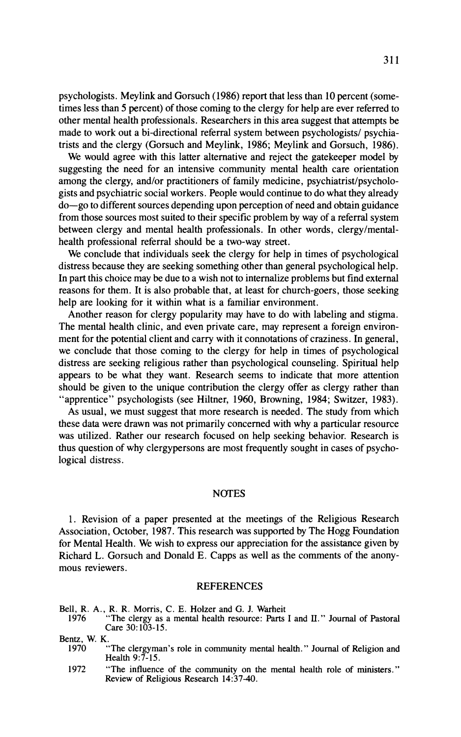psychologists. Meylink and Gorsuch (1986) report that less than 10 percent (sometimes less than 5 percent) of those coming to the clergy for help are ever referred to other mental health professionals. Researchers in this area suggest that attempts be made to work out a bi-directional referral system between psychologists/ psychiatrists and the clergy (Gorsuch and Meylink, 1986; Meylink and Gorsuch, 1986).

We would agree with this latter alternative and reject the gate keeper model by suggesting the need for an intensive community mental health care orientation among the clergy, and/or practitioners of family medicine, psychiatrist/psychologists and psychiatric social workers. People would continue to do what they already do-go to different sources depending upon perception of need and obtain guidance from those sources most suited to their specific problem by way of a referral system between clergy and mental health professionals. In other words, clergylmentalhealth professional referral should be a two-way street.

We conclude that individuals seek the clergy for help in times of psychological distress because they are seeking something other than general psychological help. In part this choice may be due to a wish not to internalize problems but find external reasons for them. It is also probable that, at least for church-goers, those seeking help are looking for it within what is a familiar environment.

Another reason for clergy popularity may have to do with labeling and stigma. The mental health clinic, and even private care, may represent a foreign environment for the potential client and carry with it connotations of craziness. In general, we conclude that those coming to the clergy for help in times of psychological distress are seeking religious rather than psychological counseling. Spiritual help appears to be what they want. Research seems to indicate that more attention should be given to the unique contribution the clergy offer as clergy rather than "apprentice" psychologists (see Hiltner, 1960, Browning, 1984; Switzer, 1983).

As usual, we must suggest that more research is needed. The study from which these data were drawn was not primarily concerned with why a particular resource was utilized. Rather our research focused on help seeking behavior. Research is thus question of why clergypersons are most frequently sought in cases of psychological distress.

#### NOTES

1. Revision of a paper presented at the meetings of the Religious Research Association, October, 1987. This research was supported by The Hogg Foundation for Mental Health. We wish to express our appreciation for the assistance given by Richard L. Gorsuch and Donald E. Capps as well as the comments of the anonymous reviewers.

#### REFERENCES

Bell, R. A., R. R. Morris, C. E. Holzer and G. J. Warheit

1976 "The clergy as a mental health resource: Parts I and **Il."** Journal of Pastoral Care 30:103-15.

Bentz. W. K.

- 1970 "The clergyman's role in community mental health." Journal of Religion and Health 9:7-15.
- 1972 "The influence of the community on the mental health role of ministers." Review of Religious Research 14:37-40.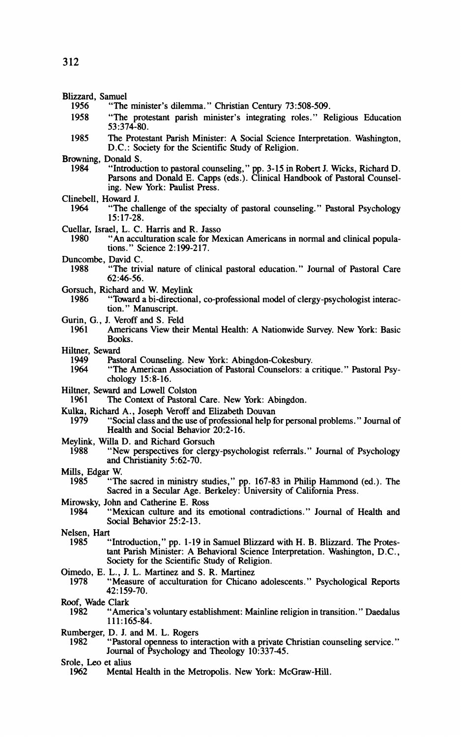- Blizzard, Samuel<br>1956 **"The** 
	- "The minister's dilemma." Christian Century 73:508-509.
	- 1958 "The protestant parish minister's integrating roles." Religious Education 53:374-80.
	- 1985 The Protestant Parish Minister: A Social Science Interpretation. Washington, D.C.: Society for the Scientific Study of Religion.
- Browning, Donald S.<br>1984 "Introduc
	- "Introduction to pastoral counseling," pp. 3-15 in Robert J. Wicks, Richard D. Parsons and Donald E. Capps (eds.). Clinical Handbook of Pastoral Counseling. New York: Paulist Press.
- Clinebell, Howard J.
	- "The challenge of the specialty of pastoral counseling." Pastoral Psychology 15:17-28.
- Cuellar, Israel, L. C. Harris and R. Jasso
	- "An acculturation scale for Mexican Americans in normal and clinical populations. " Science 2: 199-217.
- Duncombe, David C.<br>1988 "The triv
	- "The trivial nature of clinical pastoral education." Journal of Pastoral Care 62:46-56.
- Gorsuch, Richard and **W.** Meylink
	- "Toward a bi-directional, co-professional model of clergy-psychologist interaction. " Manuscript.
- Gurin, G., J. Veroff and S. Feld<br>1961 **Americans View the**
- Americans View their Mental Health: A Nationwide Survey. New York: Basic Books.
- Hiltner, Seward<br>1949 **Past** 
	- 1949 Pastoral Counseling. New York: Abingdon-Cokesbury.
	- "The American Association of Pastoral Counselors: a critique." Pastoral Psychology  $15:8-16$ .
- Hiltner, Seward and Lowell Colston<br>1961 The Context of Pastoral
- The Context of Pastoral Care. New York: Abingdon.
- Kulka, Richard A., Joseph Veroff and Elizabeth Douvan
- "Social class and the use of professional help for personal problems." Journal of Health and Social Behavior 20:2-16.
- Meylink, Willa D. and Richard Gorsuch<br>1988 **We Symber** the Street
- "New perspectives for clergy-psychologist referrals." Journal of Psychology and Christianity 5:62-70.
- Mills, Edgar W.<br>1985 **Th** 
	- 1985 "The sacred in ministry studies," pp. 167-83 in Philip Hammond (ed.). The Sacred in a Secular Age. Berkeley: University of California Press.
- Mirowsky, John and Catherine E. Ross<br>1984 **Wexican** culture and its
- 1984 "Mexican culture and its emotional contradictions." Journal of Health and Social Behavior 25:2-13.
- Nelsen, Hart<br>1985
	- "Introduction," pp. 1-19 in Samuel Blizzard with H. B. Blizzard. The Protestant Parish Minister: A Behavioral Science Interpretation. Washington, D.C., Society for the Scientific Study of Religion.
- Oimedo, E. L., J. L. Martinez and S. R. Martinez
	- "Measure of acculturation for Chicano adolescents." Psychological Reports 42: 159-70.
- Roof, Wade Clark<br>1982 "Ame
- "America's voluntary establishment: Mainline religion in transition." Daedalus 111:165-84.
- Rumberger, D. J. and M. L. Rogers<br>1982 "Pastoral openness to int
	- "Pastoral openness to interaction with a private Christian counseling service." Journal of Psychology and Theology 10:337-45.
- Srole, **Leo** et alius
	- Mental Health in the Metropolis. New York: McGraw-Hill.